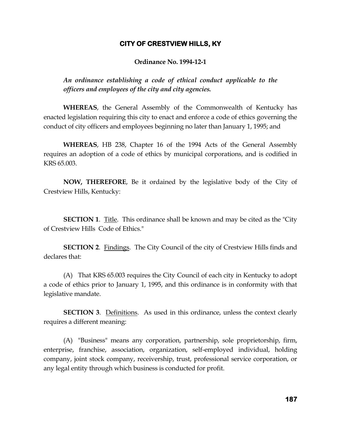### **CITY OF CRESTVIEW HILLS, KY**

#### **Ordinance No. 1994-12-1**

*An ordinance establishing a code of ethical conduct applicable to the officers and employees of the city and city agencies.*

**WHEREAS**, the General Assembly of the Commonwealth of Kentucky has enacted legislation requiring this city to enact and enforce a code of ethics governing the conduct of city officers and employees beginning no later than January 1, 1995; and

**WHEREAS**, HB 238, Chapter 16 of the 1994 Acts of the General Assembly requires an adoption of a code of ethics by municipal corporations, and is codified in KRS 65.003.

**NOW, THEREFORE**, Be it ordained by the legislative body of the City of Crestview Hills, Kentucky:

**SECTION 1**. Title. This ordinance shall be known and may be cited as the "City of Crestview Hills Code of Ethics."

**SECTION 2.** Findings. The City Council of the city of Crestview Hills finds and declares that:

(A) That KRS 65.003 requires the City Council of each city in Kentucky to adopt a code of ethics prior to January 1, 1995, and this ordinance is in conformity with that legislative mandate.

**SECTION 3.** Definitions. As used in this ordinance, unless the context clearly requires a different meaning:

(A) "Business" means any corporation, partnership, sole proprietorship, firm, enterprise, franchise, association, organization, self-employed individual, holding company, joint stock company, receivership, trust, professional service corporation, or any legal entity through which business is conducted for profit.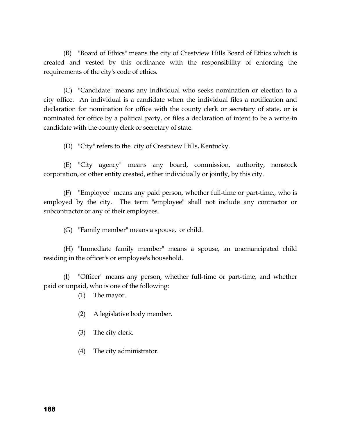(B) "Board of Ethics" means the city of Crestview Hills Board of Ethics which is created and vested by this ordinance with the responsibility of enforcing the requirements of the city's code of ethics.

(C) "Candidate" means any individual who seeks nomination or election to a city office. An individual is a candidate when the individual files a notification and declaration for nomination for office with the county clerk or secretary of state, or is nominated for office by a political party, or files a declaration of intent to be a write-in candidate with the county clerk or secretary of state.

(D) "City" refers to the city of Crestview Hills, Kentucky.

(E) "City agency" means any board, commission, authority, nonstock corporation, or other entity created, either individually or jointly, by this city.

(F) "Employee" means any paid person, whether full-time or part-time,, who is employed by the city. The term "employee" shall not include any contractor or subcontractor or any of their employees.

(G) "Family member" means a spouse, or child.

(H) "Immediate family member" means a spouse, an unemancipated child residing in the officer's or employee's household.

(I) "Officer" means any person, whether full-time or part-time, and whether paid or unpaid, who is one of the following:

(1) The mayor.

- (2) A legislative body member.
- (3) The city clerk.
- (4) The city administrator.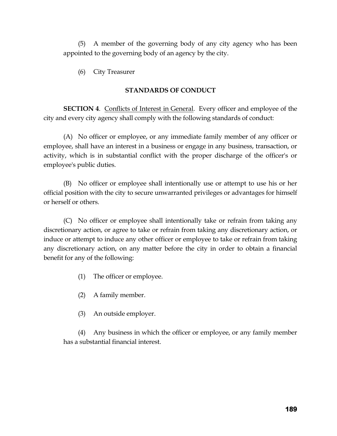(5) A member of the governing body of any city agency who has been appointed to the governing body of an agency by the city.

(6) City Treasurer

# **STANDARDS OF CONDUCT**

**SECTION 4.** Conflicts of Interest in General. Every officer and employee of the city and every city agency shall comply with the following standards of conduct:

(A) No officer or employee, or any immediate family member of any officer or employee, shall have an interest in a business or engage in any business, transaction, or activity, which is in substantial conflict with the proper discharge of the officer's or employee's public duties.

(B) No officer or employee shall intentionally use or attempt to use his or her official position with the city to secure unwarranted privileges or advantages for himself or herself or others.

(C) No officer or employee shall intentionally take or refrain from taking any discretionary action, or agree to take or refrain from taking any discretionary action, or induce or attempt to induce any other officer or employee to take or refrain from taking any discretionary action, on any matter before the city in order to obtain a financial benefit for any of the following:

- (1) The officer or employee.
- (2) A family member.
- (3) An outside employer.

(4) Any business in which the officer or employee, or any family member has a substantial financial interest.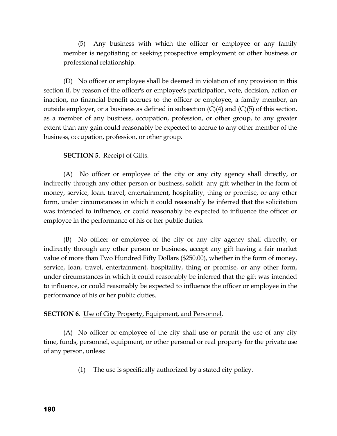(5) Any business with which the officer or employee or any family member is negotiating or seeking prospective employment or other business or professional relationship.

(D) No officer or employee shall be deemed in violation of any provision in this section if, by reason of the officer's or employee's participation, vote, decision, action or inaction, no financial benefit accrues to the officer or employee, a family member, an outside employer, or a business as defined in subsection  $(C)(4)$  and  $(C)(5)$  of this section, as a member of any business, occupation, profession, or other group, to any greater extent than any gain could reasonably be expected to accrue to any other member of the business, occupation, profession, or other group.

# **SECTION 5**. Receipt of Gifts.

(A) No officer or employee of the city or any city agency shall directly, or indirectly through any other person or business, solicit any gift whether in the form of money, service, loan, travel, entertainment, hospitality, thing or promise, or any other form, under circumstances in which it could reasonably be inferred that the solicitation was intended to influence, or could reasonably be expected to influence the officer or employee in the performance of his or her public duties.

(B) No officer or employee of the city or any city agency shall directly, or indirectly through any other person or business, accept any gift having a fair market value of more than Two Hundred Fifty Dollars (\$250.00), whether in the form of money, service, loan, travel, entertainment, hospitality, thing or promise, or any other form, under circumstances in which it could reasonably be inferred that the gift was intended to influence, or could reasonably be expected to influence the officer or employee in the performance of his or her public duties.

#### **SECTION 6.** Use of City Property, Equipment, and Personnel.

(A) No officer or employee of the city shall use or permit the use of any city time, funds, personnel, equipment, or other personal or real property for the private use of any person, unless:

(1) The use is specifically authorized by a stated city policy.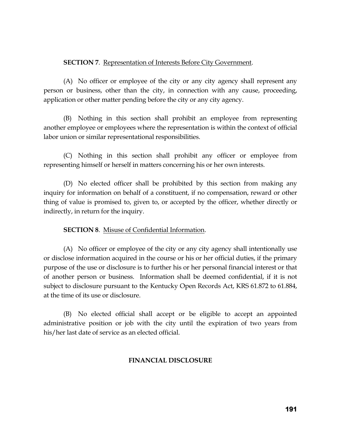#### **SECTION 7**. Representation of Interests Before City Government.

(A) No officer or employee of the city or any city agency shall represent any person or business, other than the city, in connection with any cause, proceeding, application or other matter pending before the city or any city agency.

(B) Nothing in this section shall prohibit an employee from representing another employee or employees where the representation is within the context of official labor union or similar representational responsibilities.

(C) Nothing in this section shall prohibit any officer or employee from representing himself or herself in matters concerning his or her own interests.

(D) No elected officer shall be prohibited by this section from making any inquiry for information on behalf of a constituent, if no compensation, reward or other thing of value is promised to, given to, or accepted by the officer, whether directly or indirectly, in return for the inquiry.

# **SECTION 8**. Misuse of Confidential Information.

(A) No officer or employee of the city or any city agency shall intentionally use or disclose information acquired in the course or his or her official duties, if the primary purpose of the use or disclosure is to further his or her personal financial interest or that of another person or business. Information shall be deemed confidential, if it is not subject to disclosure pursuant to the Kentucky Open Records Act, KRS 61.872 to 61.884, at the time of its use or disclosure.

(B) No elected official shall accept or be eligible to accept an appointed administrative position or job with the city until the expiration of two years from his/her last date of service as an elected official.

#### **FINANCIAL DISCLOSURE**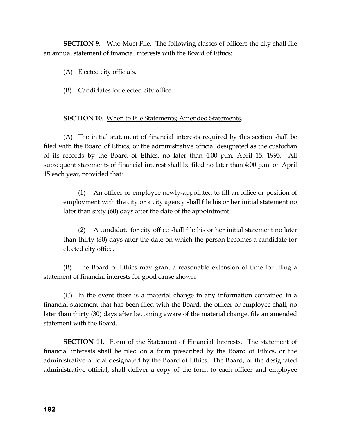**SECTION 9.** Who Must File. The following classes of officers the city shall file an annual statement of financial interests with the Board of Ethics:

(A) Elected city officials.

(B) Candidates for elected city office.

# **SECTION 10.** When to File Statements; Amended Statements.

(A) The initial statement of financial interests required by this section shall be filed with the Board of Ethics, or the administrative official designated as the custodian of its records by the Board of Ethics, no later than 4:00 p.m. April 15, 1995. All subsequent statements of financial interest shall be filed no later than 4:00 p.m. on April 15 each year, provided that:

(1) An officer or employee newly-appointed to fill an office or position of employment with the city or a city agency shall file his or her initial statement no later than sixty (60) days after the date of the appointment.

(2) A candidate for city office shall file his or her initial statement no later than thirty (30) days after the date on which the person becomes a candidate for elected city office.

(B) The Board of Ethics may grant a reasonable extension of time for filing a statement of financial interests for good cause shown.

(C) In the event there is a material change in any information contained in a financial statement that has been filed with the Board, the officer or employee shall, no later than thirty (30) days after becoming aware of the material change, file an amended statement with the Board.

**SECTION 11**. Form of the Statement of Financial Interests. The statement of financial interests shall be filed on a form prescribed by the Board of Ethics, or the administrative official designated by the Board of Ethics. The Board, or the designated administrative official, shall deliver a copy of the form to each officer and employee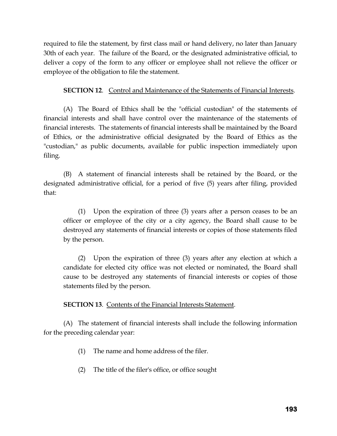required to file the statement, by first class mail or hand delivery, no later than January 30th of each year. The failure of the Board, or the designated administrative official, to deliver a copy of the form to any officer or employee shall not relieve the officer or employee of the obligation to file the statement.

### **SECTION 12.** Control and Maintenance of the Statements of Financial Interests.

(A) The Board of Ethics shall be the "official custodian" of the statements of financial interests and shall have control over the maintenance of the statements of financial interests. The statements of financial interests shall be maintained by the Board of Ethics, or the administrative official designated by the Board of Ethics as the "custodian," as public documents, available for public inspection immediately upon filing.

(B) A statement of financial interests shall be retained by the Board, or the designated administrative official, for a period of five (5) years after filing, provided that:

(1) Upon the expiration of three (3) years after a person ceases to be an officer or employee of the city or a city agency, the Board shall cause to be destroyed any statements of financial interests or copies of those statements filed by the person.

(2) Upon the expiration of three (3) years after any election at which a candidate for elected city office was not elected or nominated, the Board shall cause to be destroyed any statements of financial interests or copies of those statements filed by the person.

#### **SECTION 13**. Contents of the Financial Interests Statement.

(A) The statement of financial interests shall include the following information for the preceding calendar year:

- (1) The name and home address of the filer.
- (2) The title of the filer's office, or office sought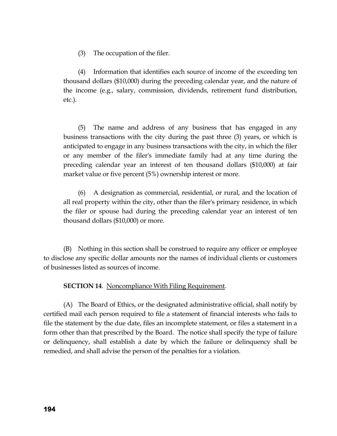(3) The occupation of the filer.

(4) Information that identifies each source of income of the exceeding ten thousand dollars (\$10,000) during the preceding calendar year, and the nature of the income (e.g., salary, commission, dividends, retirement fund distribution, etc.).

(5) The name and address of any business that has engaged in any business transactions with the city during the past three (3) years, or which is anticipated to engage in any business transactions with the city, in which the filer or any member of the filer's immediate family had at any time during the preceding calendar year an interest of ten thousand dollars (\$10,000) at fair market value or five percent (5%) ownership interest or more.

(6) A designation as commercial, residential, or rural, and the location of all real property within the city, other than the filer's primary residence, in which the filer or spouse had during the preceding calendar year an interest of ten thousand dollars (\$10,000) or more.

(B) Nothing in this section shall be construed to require any officer or employee to disclose any specific dollar amounts nor the names of individual clients or customers of businesses listed as sources of income.

**SECTION 14.** Noncompliance With Filing Requirement.

(A) The Board of Ethics, or the designated administrative official, shall notify by certified mail each person required to file a statement of financial interests who fails to file the statement by the due date, files an incomplete statement, or files a statement in a form other than that prescribed by the Board. The notice shall specify the type of failure or delinquency, shall establish a date by which the failure or delinquency shall be remedied, and shall advise the person of the penalties for a violation.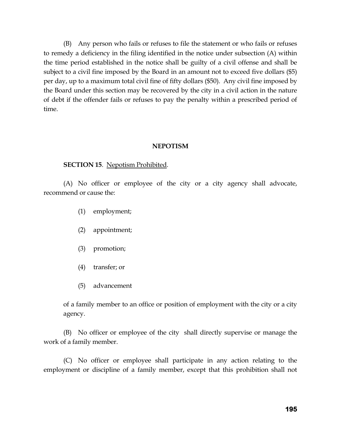(B) Any person who fails or refuses to file the statement or who fails or refuses to remedy a deficiency in the filing identified in the notice under subsection (A) within the time period established in the notice shall be guilty of a civil offense and shall be subject to a civil fine imposed by the Board in an amount not to exceed five dollars (\$5) per day, up to a maximum total civil fine of fifty dollars (\$50). Any civil fine imposed by the Board under this section may be recovered by the city in a civil action in the nature of debt if the offender fails or refuses to pay the penalty within a prescribed period of time.

#### **NEPOTISM**

#### **SECTION 15**. Nepotism Prohibited.

(A) No officer or employee of the city or a city agency shall advocate, recommend or cause the:

- (1) employment;
- (2) appointment;
- (3) promotion;
- (4) transfer; or
- (5) advancement

of a family member to an office or position of employment with the city or a city agency.

(B) No officer or employee of the city shall directly supervise or manage the work of a family member.

(C) No officer or employee shall participate in any action relating to the employment or discipline of a family member, except that this prohibition shall not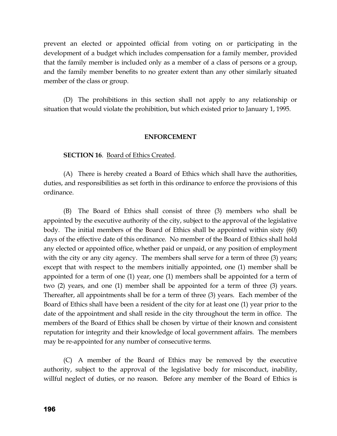prevent an elected or appointed official from voting on or participating in the development of a budget which includes compensation for a family member, provided that the family member is included only as a member of a class of persons or a group, and the family member benefits to no greater extent than any other similarly situated member of the class or group.

(D) The prohibitions in this section shall not apply to any relationship or situation that would violate the prohibition, but which existed prior to January 1, 1995.

#### **ENFORCEMENT**

**SECTION 16**. Board of Ethics Created.

(A) There is hereby created a Board of Ethics which shall have the authorities, duties, and responsibilities as set forth in this ordinance to enforce the provisions of this ordinance.

(B) The Board of Ethics shall consist of three (3) members who shall be appointed by the executive authority of the city, subject to the approval of the legislative body. The initial members of the Board of Ethics shall be appointed within sixty (60) days of the effective date of this ordinance. No member of the Board of Ethics shall hold any elected or appointed office, whether paid or unpaid, or any position of employment with the city or any city agency. The members shall serve for a term of three (3) years; except that with respect to the members initially appointed, one (1) member shall be appointed for a term of one (1) year, one (1) members shall be appointed for a term of two (2) years, and one (1) member shall be appointed for a term of three (3) years. Thereafter, all appointments shall be for a term of three (3) years. Each member of the Board of Ethics shall have been a resident of the city for at least one (1) year prior to the date of the appointment and shall reside in the city throughout the term in office. The members of the Board of Ethics shall be chosen by virtue of their known and consistent reputation for integrity and their knowledge of local government affairs. The members may be re-appointed for any number of consecutive terms.

(C) A member of the Board of Ethics may be removed by the executive authority, subject to the approval of the legislative body for misconduct, inability, willful neglect of duties, or no reason. Before any member of the Board of Ethics is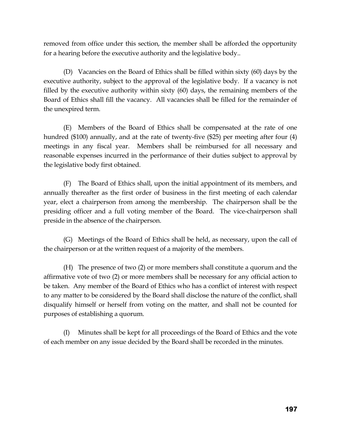removed from office under this section, the member shall be afforded the opportunity for a hearing before the executive authority and the legislative body..

(D) Vacancies on the Board of Ethics shall be filled within sixty (60) days by the executive authority, subject to the approval of the legislative body. If a vacancy is not filled by the executive authority within sixty (60) days, the remaining members of the Board of Ethics shall fill the vacancy. All vacancies shall be filled for the remainder of the unexpired term.

(E) Members of the Board of Ethics shall be compensated at the rate of one hundred (\$100) annually, and at the rate of twenty-five (\$25) per meeting after four (4) meetings in any fiscal year. Members shall be reimbursed for all necessary and reasonable expenses incurred in the performance of their duties subject to approval by the legislative body first obtained.

(F) The Board of Ethics shall, upon the initial appointment of its members, and annually thereafter as the first order of business in the first meeting of each calendar year, elect a chairperson from among the membership. The chairperson shall be the presiding officer and a full voting member of the Board. The vice-chairperson shall preside in the absence of the chairperson.

(G) Meetings of the Board of Ethics shall be held, as necessary, upon the call of the chairperson or at the written request of a majority of the members.

(H) The presence of two (2) or more members shall constitute a quorum and the affirmative vote of two (2) or more members shall be necessary for any official action to be taken. Any member of the Board of Ethics who has a conflict of interest with respect to any matter to be considered by the Board shall disclose the nature of the conflict, shall disqualify himself or herself from voting on the matter, and shall not be counted for purposes of establishing a quorum.

(I) Minutes shall be kept for all proceedings of the Board of Ethics and the vote of each member on any issue decided by the Board shall be recorded in the minutes.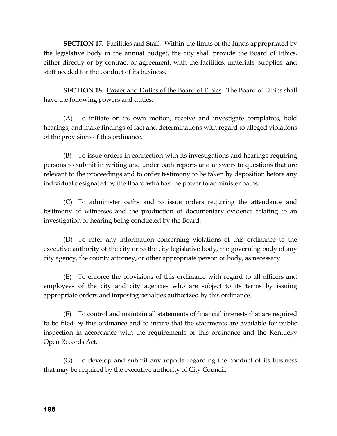**SECTION 17.** Facilities and Staff. Within the limits of the funds appropriated by the legislative body in the annual budget, the city shall provide the Board of Ethics, either directly or by contract or agreement, with the facilities, materials, supplies, and staff needed for the conduct of its business.

**SECTION 18**. Power and Duties of the Board of Ethics. The Board of Ethics shall have the following powers and duties:

(A) To initiate on its own motion, receive and investigate complaints, hold hearings, and make findings of fact and determinations with regard to alleged violations of the provisions of this ordinance.

(B) To issue orders in connection with its investigations and hearings requiring persons to submit in writing and under oath reports and answers to questions that are relevant to the proceedings and to order testimony to be taken by deposition before any individual designated by the Board who has the power to administer oaths.

(C) To administer oaths and to issue orders requiring the attendance and testimony of witnesses and the production of documentary evidence relating to an investigation or hearing being conducted by the Board.

(D) To refer any information concerning violations of this ordinance to the executive authority of the city or to the city legislative body, the governing body of any city agency, the county attorney, or other appropriate person or body, as necessary.

(E) To enforce the provisions of this ordinance with regard to all officers and employees of the city and city agencies who are subject to its terms by issuing appropriate orders and imposing penalties authorized by this ordinance.

(F) To control and maintain all statements of financial interests that are required to be filed by this ordinance and to insure that the statements are available for public inspection in accordance with the requirements of this ordinance and the Kentucky Open Records Act.

(G) To develop and submit any reports regarding the conduct of its business that may be required by the executive authority of City Council.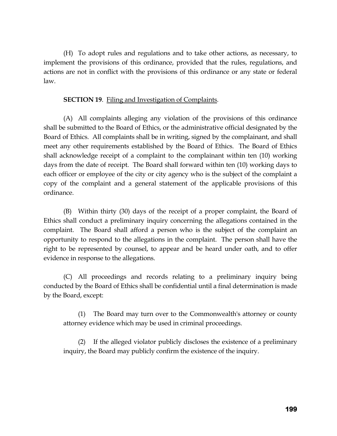(H) To adopt rules and regulations and to take other actions, as necessary, to implement the provisions of this ordinance, provided that the rules, regulations, and actions are not in conflict with the provisions of this ordinance or any state or federal law.

### **SECTION 19.** Filing and Investigation of Complaints.

(A) All complaints alleging any violation of the provisions of this ordinance shall be submitted to the Board of Ethics, or the administrative official designated by the Board of Ethics. All complaints shall be in writing, signed by the complainant, and shall meet any other requirements established by the Board of Ethics. The Board of Ethics shall acknowledge receipt of a complaint to the complainant within ten (10) working days from the date of receipt. The Board shall forward within ten (10) working days to each officer or employee of the city or city agency who is the subject of the complaint a copy of the complaint and a general statement of the applicable provisions of this ordinance.

(B) Within thirty (30) days of the receipt of a proper complaint, the Board of Ethics shall conduct a preliminary inquiry concerning the allegations contained in the complaint. The Board shall afford a person who is the subject of the complaint an opportunity to respond to the allegations in the complaint. The person shall have the right to be represented by counsel, to appear and be heard under oath, and to offer evidence in response to the allegations.

(C) All proceedings and records relating to a preliminary inquiry being conducted by the Board of Ethics shall be confidential until a final determination is made by the Board, except:

(1) The Board may turn over to the Commonwealth's attorney or county attorney evidence which may be used in criminal proceedings.

(2) If the alleged violator publicly discloses the existence of a preliminary inquiry, the Board may publicly confirm the existence of the inquiry.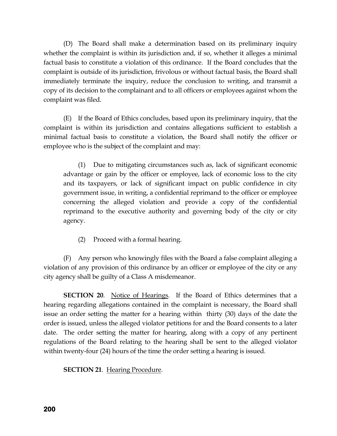(D) The Board shall make a determination based on its preliminary inquiry whether the complaint is within its jurisdiction and, if so, whether it alleges a minimal factual basis to constitute a violation of this ordinance. If the Board concludes that the complaint is outside of its jurisdiction, frivolous or without factual basis, the Board shall immediately terminate the inquiry, reduce the conclusion to writing, and transmit a copy of its decision to the complainant and to all officers or employees against whom the complaint was filed.

(E) If the Board of Ethics concludes, based upon its preliminary inquiry, that the complaint is within its jurisdiction and contains allegations sufficient to establish a minimal factual basis to constitute a violation, the Board shall notify the officer or employee who is the subject of the complaint and may:

(1) Due to mitigating circumstances such as, lack of significant economic advantage or gain by the officer or employee, lack of economic loss to the city and its taxpayers, or lack of significant impact on public confidence in city government issue, in writing, a confidential reprimand to the officer or employee concerning the alleged violation and provide a copy of the confidential reprimand to the executive authority and governing body of the city or city agency.

(2) Proceed with a formal hearing.

(F) Any person who knowingly files with the Board a false complaint alleging a violation of any provision of this ordinance by an officer or employee of the city or any city agency shall be guilty of a Class A misdemeanor.

**SECTION 20.** Notice of Hearings. If the Board of Ethics determines that a hearing regarding allegations contained in the complaint is necessary, the Board shall issue an order setting the matter for a hearing within thirty (30) days of the date the order is issued, unless the alleged violator petitions for and the Board consents to a later date. The order setting the matter for hearing, along with a copy of any pertinent regulations of the Board relating to the hearing shall be sent to the alleged violator within twenty-four (24) hours of the time the order setting a hearing is issued.

**SECTION 21**. Hearing Procedure.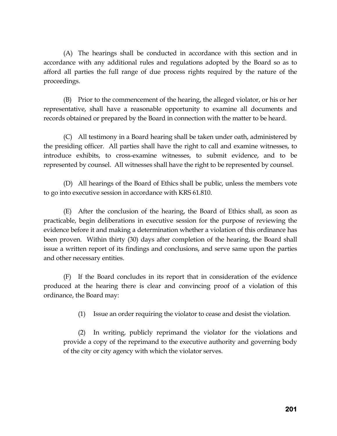(A) The hearings shall be conducted in accordance with this section and in accordance with any additional rules and regulations adopted by the Board so as to afford all parties the full range of due process rights required by the nature of the proceedings.

(B) Prior to the commencement of the hearing, the alleged violator, or his or her representative, shall have a reasonable opportunity to examine all documents and records obtained or prepared by the Board in connection with the matter to be heard.

(C) All testimony in a Board hearing shall be taken under oath, administered by the presiding officer. All parties shall have the right to call and examine witnesses, to introduce exhibits, to cross-examine witnesses, to submit evidence, and to be represented by counsel. All witnesses shall have the right to be represented by counsel.

(D) All hearings of the Board of Ethics shall be public, unless the members vote to go into executive session in accordance with KRS 61.810.

(E) After the conclusion of the hearing, the Board of Ethics shall, as soon as practicable, begin deliberations in executive session for the purpose of reviewing the evidence before it and making a determination whether a violation of this ordinance has been proven. Within thirty (30) days after completion of the hearing, the Board shall issue a written report of its findings and conclusions, and serve same upon the parties and other necessary entities.

(F) If the Board concludes in its report that in consideration of the evidence produced at the hearing there is clear and convincing proof of a violation of this ordinance, the Board may:

(1) Issue an order requiring the violator to cease and desist the violation.

(2) In writing, publicly reprimand the violator for the violations and provide a copy of the reprimand to the executive authority and governing body of the city or city agency with which the violator serves.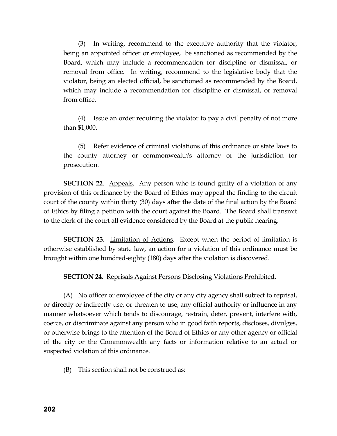(3) In writing, recommend to the executive authority that the violator, being an appointed officer or employee, be sanctioned as recommended by the Board, which may include a recommendation for discipline or dismissal, or removal from office. In writing, recommend to the legislative body that the violator, being an elected official, be sanctioned as recommended by the Board, which may include a recommendation for discipline or dismissal, or removal from office.

(4) Issue an order requiring the violator to pay a civil penalty of not more than \$1,000.

(5) Refer evidence of criminal violations of this ordinance or state laws to the county attorney or commonwealth's attorney of the jurisdiction for prosecution.

**SECTION 22.** Appeals. Any person who is found guilty of a violation of any provision of this ordinance by the Board of Ethics may appeal the finding to the circuit court of the county within thirty (30) days after the date of the final action by the Board of Ethics by filing a petition with the court against the Board. The Board shall transmit to the clerk of the court all evidence considered by the Board at the public hearing.

**SECTION 23**. Limitation of Actions. Except when the period of limitation is otherwise established by state law, an action for a violation of this ordinance must be brought within one hundred-eighty (180) days after the violation is discovered.

#### **SECTION 24**. Reprisals Against Persons Disclosing Violations Prohibited.

(A) No officer or employee of the city or any city agency shall subject to reprisal, or directly or indirectly use, or threaten to use, any official authority or influence in any manner whatsoever which tends to discourage, restrain, deter, prevent, interfere with, coerce, or discriminate against any person who in good faith reports, discloses, divulges, or otherwise brings to the attention of the Board of Ethics or any other agency or official of the city or the Commonwealth any facts or information relative to an actual or suspected violation of this ordinance.

(B) This section shall not be construed as: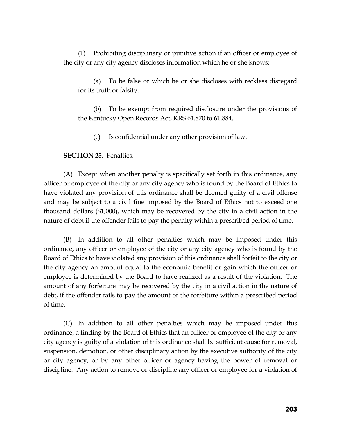(1) Prohibiting disciplinary or punitive action if an officer or employee of the city or any city agency discloses information which he or she knows:

(a) To be false or which he or she discloses with reckless disregard for its truth or falsity.

(b) To be exempt from required disclosure under the provisions of the Kentucky Open Records Act, KRS 61.870 to 61.884.

(c) Is confidential under any other provision of law.

#### **SECTION 25**. Penalties.

(A) Except when another penalty is specifically set forth in this ordinance, any officer or employee of the city or any city agency who is found by the Board of Ethics to have violated any provision of this ordinance shall be deemed guilty of a civil offense and may be subject to a civil fine imposed by the Board of Ethics not to exceed one thousand dollars (\$1,000), which may be recovered by the city in a civil action in the nature of debt if the offender fails to pay the penalty within a prescribed period of time.

(B) In addition to all other penalties which may be imposed under this ordinance, any officer or employee of the city or any city agency who is found by the Board of Ethics to have violated any provision of this ordinance shall forfeit to the city or the city agency an amount equal to the economic benefit or gain which the officer or employee is determined by the Board to have realized as a result of the violation. The amount of any forfeiture may be recovered by the city in a civil action in the nature of debt, if the offender fails to pay the amount of the forfeiture within a prescribed period of time.

(C) In addition to all other penalties which may be imposed under this ordinance, a finding by the Board of Ethics that an officer or employee of the city or any city agency is guilty of a violation of this ordinance shall be sufficient cause for removal, suspension, demotion, or other disciplinary action by the executive authority of the city or city agency, or by any other officer or agency having the power of removal or discipline. Any action to remove or discipline any officer or employee for a violation of